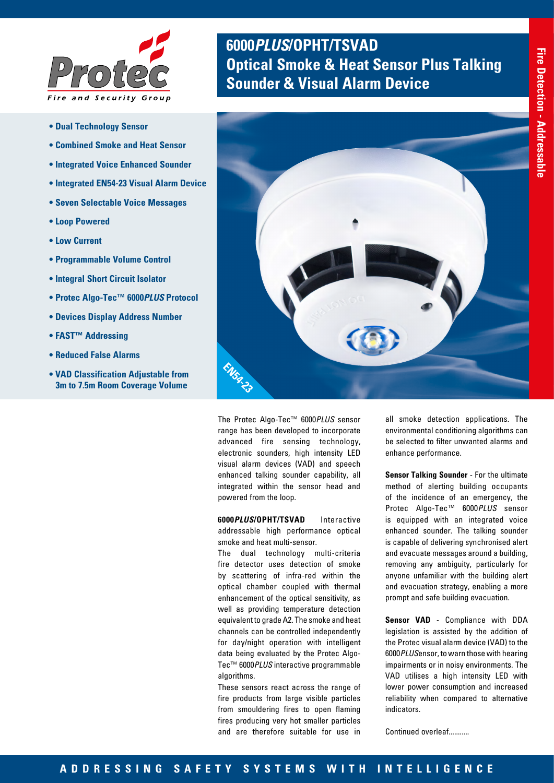

- **Dual Technology Sensor**
- **Combined Smoke and Heat Sensor**
- **Integrated Voice Enhanced Sounder**
- **Integrated EN54-23 Visual Alarm Device**
- **Seven Selectable Voice Messages**
- **Loop Powered**
- **Low Current**
- **Programmable Volume Control**
- **Integral Short Circuit Isolator**
- **Protec Algo-Tec™ 6000***PLUS* **Protocol**
- **Devices Display Address Number**
- **FAST™ Addressing**
- **Reduced False Alarms**
- **VAD Classification Adjustable from 3m to 7.5m Room Coverage Volume**

# **6000***PLUS***/OPHT/TSVAD Optical Smoke & Heat Sensor Plus Talking Sounder & Visual Alarm Device**



The Protec Algo-Tec™ 6000*PLUS* sensor range has been developed to incorporate advanced fire sensing technology, electronic sounders, high intensity LED visual alarm devices (VAD) and speech enhanced talking sounder capability, all integrated within the sensor head and powered from the loop.

**6000***PLUS***/OPHT/TSVAD** Interactive addressable high performance optical smoke and heat multi-sensor.

The dual technology multi-criteria fire detector uses detection of smoke by scattering of infra-red within the optical chamber coupled with thermal enhancement of the optical sensitivity, as well as providing temperature detection equivalent to grade A2. The smoke and heat channels can be controlled independently for day/night operation with intelligent data being evaluated by the Protec Algo-Tec™ 6000*PLUS* interactive programmable algorithms.

These sensors react across the range of fire products from large visible particles from smouldering fires to open flaming fires producing very hot smaller particles and are therefore suitable for use in

all smoke detection applications. The environmental conditioning algorithms can be selected to filter unwanted alarms and enhance performance.

**Sensor Talking Sounder** - For the ultimate method of alerting building occupants of the incidence of an emergency, the Protec Algo-Tec™ 6000*PLUS* sensor is equipped with an integrated voice enhanced sounder. The talking sounder is capable of delivering synchronised alert and evacuate messages around a building, removing any ambiguity, particularly for anyone unfamiliar with the building alert and evacuation strategy, enabling a more prompt and safe building evacuation.

**Sensor VAD** - Compliance with DDA legislation is assisted by the addition of the Protec visual alarm device (VAD) to the 6000*PLUS*ensor, to warn those with hearing impairments or in noisy environments. The VAD utilises a high intensity LED with lower power consumption and increased reliability when compared to alternative indicators.

Continued overleaf...........